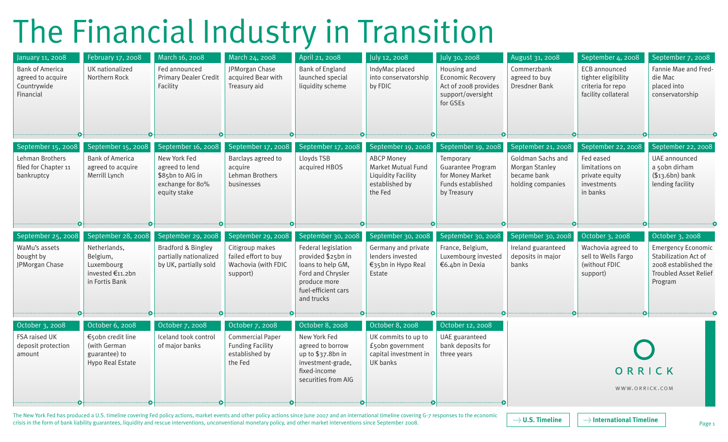## The Financial Industry in Transition

| January 11, 2008<br><b>Bank of America</b><br>agreed to acquire<br>Countrywide<br>Financial | February 17, 2008<br>UK nationalized<br>Northern Rock                                                    | March 16, 2008<br>Fed announced<br><b>Primary Dealer Credit</b><br>Facility                                  | March 24, 2008<br>JPMorgan Chase<br>acquired Bear with<br>Treasury aid                             | April 21, 2008<br><b>Bank of England</b><br>launched special<br>liquidity scheme                                                                               | July 12, 2008<br>IndyMac placed<br>into conservatorship<br>by FDIC                                                      | July 30, 2008<br>Housing and<br><b>Economic Recovery</b><br>Act of 2008 provides<br>support/oversight<br>for GSEs | August 31, 2008<br>Commerzbank<br>agreed to buy<br>Dresdner Bank                              | September 4, 2008<br>ECB announced<br>tighter eligibility<br>criteria for repo<br>facility collateral | September 7, 2008<br>Fannie Mae and Fred-<br>die Mac<br>placed into<br>conservatorship                                                  |
|---------------------------------------------------------------------------------------------|----------------------------------------------------------------------------------------------------------|--------------------------------------------------------------------------------------------------------------|----------------------------------------------------------------------------------------------------|----------------------------------------------------------------------------------------------------------------------------------------------------------------|-------------------------------------------------------------------------------------------------------------------------|-------------------------------------------------------------------------------------------------------------------|-----------------------------------------------------------------------------------------------|-------------------------------------------------------------------------------------------------------|-----------------------------------------------------------------------------------------------------------------------------------------|
| September 15, 2008<br>Lehman Brothers<br>filed for Chapter 11<br>bankruptcy                 | September 15, 2008<br><b>Bank of America</b><br>agreed to acquire<br>Merrill Lynch                       | September 16, 2008<br>New York Fed<br>agreed to lend<br>\$85bn to AIG in<br>exchange for 80%<br>equity stake | September 17, 2008<br>Barclays agreed to<br>acquire<br>Lehman Brothers<br>businesses               | September 17, 2008<br>Lloyds TSB<br>acquired HBOS                                                                                                              | September 19, 2008<br><b>ABCP Money</b><br>Market Mutual Fund<br><b>Liquidity Facility</b><br>established by<br>the Fed | September 19, 2008<br>Temporary<br>Guarantee Program<br>for Money Market<br>Funds established<br>by Treasury      | September 21, 2008<br>Goldman Sachs and<br>Morgan Stanley<br>became bank<br>holding companies | September 22, 2008<br>Fed eased<br>limitations on<br>private equity<br>investments<br>in banks        | September 22, 2008<br>UAE announced<br>a 50bn dirham<br>$($13.6bn)$ bank<br>lending facility                                            |
| September 25, 2008<br>WaMu's assets<br>bought by<br>JPMorgan Chase<br>Ð                     | September 28, 2008<br>Netherlands,<br>Belgium,<br>Luxembourg<br>invested €11.2bn<br>in Fortis Bank<br>∙o | September 29, 2008<br><b>Bradford &amp; Bingley</b><br>partially nationalized<br>by UK, partially sold<br>Ð  | September 29, 2008<br>Citigroup makes<br>failed effort to buy<br>Wachovia (with FDIC<br>support)   | September 30, 2008<br>Federal legislation<br>provided \$25bn in<br>loans to help GM,<br>Ford and Chrysler<br>produce more<br>fuel-efficient cars<br>and trucks | September 30, 2008<br>Germany and private<br>lenders invested<br>€35bn in Hypo Real<br>Estate                           | September 30, 2008<br>France, Belgium,<br>Luxembourg invested<br>€6.4bn in Dexia                                  | September 30, 2008<br>Ireland guaranteed<br>deposits in major<br>banks                        | October 3, 2008<br>Wachovia agreed to<br>sell to Wells Fargo<br>(without FDIC<br>support)             | October 3, 2008<br><b>Emergency Economic</b><br>Stabilization Act of<br>2008 established the<br><b>Troubled Asset Relief</b><br>Program |
| October 3, 2008<br>FSA raised UK<br>deposit protection<br>amount                            | October 6, 2008<br>€50bn credit line<br>(with German<br>guarantee) to<br>Hypo Real Estate                | October 7, 2008<br>Iceland took control<br>of major banks                                                    | October 7, 2008<br><b>Commercial Paper</b><br><b>Funding Facility</b><br>established by<br>the Fed | October 8, 2008<br>New York Fed<br>agreed to borrow<br>up to $$37.8bn in$<br>investment-grade,<br>fixed-income<br>securities from AIG                          | October 8, 2008<br>UK commits to up to<br>£50bn government<br>capital investment in<br>UK banks                         | October 12, 2008<br>UAE guaranteed<br>bank deposits for<br>three years                                            |                                                                                               | ORRICK<br>WWW.ORRICK.COM                                                                              |                                                                                                                                         |

The New York Fed has produced a U.S. timeline covering Fed policy actions, market events and other policy actions since June 2007 and an international timeline covering G-7 responses to the economic  $\rightarrow$  U.S. Timeline crisis in the form of bank liability guarantees, liquidity and rescue interventions, unconventional monetary policy, and other market interventions since September 2008.

Page 1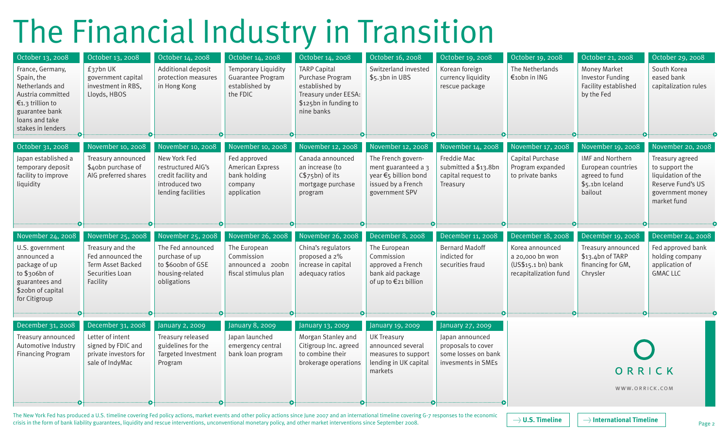## The Financial Industry in Transition

| October 13, 2008<br>France, Germany,<br>Spain, the<br>Netherlands and<br>Austria committed<br>€1.3 trillion to<br>guarantee bank<br>loans and take<br>stakes in lenders | October 13, 2008<br>£37bn UK<br>government capital<br>investment in RBS,<br>Lloyds, HBOS                             | October 14, 2008<br>Additional deposit<br>protection measures<br>in Hong Kong                                          | October 14, 2008<br>Temporary Liquidity<br>Guarantee Program<br>established by<br>the FDIC      | October 14, 2008<br><b>TARP Capital</b><br>Purchase Program<br>established by<br>Treasury under EESA:<br>\$125bn in funding to<br>nine banks | October 16, 2008<br>Switzerland invested<br>\$5.3bn in UBS                                                                     | October 19, 2008<br>Korean foreign<br>currency liquidity<br>rescue package                             | October 19, 2008<br>The Netherlands<br>€10bn in ING                                                    | October 21, 2008<br>Money Market<br><b>Investor Funding</b><br>Facility established<br>by the Fed                  | October 29, 2008<br>South Korea<br>eased bank<br>capitalization rules                                                                |
|-------------------------------------------------------------------------------------------------------------------------------------------------------------------------|----------------------------------------------------------------------------------------------------------------------|------------------------------------------------------------------------------------------------------------------------|-------------------------------------------------------------------------------------------------|----------------------------------------------------------------------------------------------------------------------------------------------|--------------------------------------------------------------------------------------------------------------------------------|--------------------------------------------------------------------------------------------------------|--------------------------------------------------------------------------------------------------------|--------------------------------------------------------------------------------------------------------------------|--------------------------------------------------------------------------------------------------------------------------------------|
| October 31, 2008<br>Japan established a<br>temporary deposit<br>facility to improve<br>liquidity                                                                        | November 10, 2008<br>Treasury announced<br>\$40bn purchase of<br>AIG preferred shares                                | November 10, 2008<br>New York Fed<br>restructured AIG's<br>credit facility and<br>introduced two<br>lending facilities | November 10, 2008<br>Fed approved<br>American Express<br>bank holding<br>company<br>application | November 12, 2008<br>Canada announced<br>an increase (to<br>C\$75bn) of its<br>mortgage purchase<br>program                                  | November 12, 2008<br>The French govern-<br>ment guaranteed a 3<br>year €5 billion bond<br>issued by a French<br>government SPV | November 14, 2008<br>Freddie Mac<br>submitted a \$13.8bn<br>capital request to<br>Treasury             | November 17, 2008<br>Capital Purchase<br>Program expanded<br>to private banks                          | November 19, 2008<br><b>IMF and Northern</b><br>European countries<br>agreed to fund<br>\$5.1bn Iceland<br>bailout | November 20, 2008<br>Treasury agreed<br>to support the<br>liquidation of the<br>Reserve Fund's US<br>government money<br>market fund |
| November 24, 2008<br>U.S. government<br>announced a<br>package of up<br>to \$306bn of<br>guarantees and<br>\$20bn of capital<br>for Citigroup<br>Ð                      | November 25, 2008<br>Treasury and the<br>Fed announced the<br>Term Asset Backed<br>Securities Loan<br>Facility<br>∙0 | November 25, 2008<br>The Fed announced<br>purchase of up<br>to \$600bn of GSE<br>housing-related<br>obligations<br>Ð   | November 26, 2008<br>The European<br>Commission<br>announced a 200bn<br>fiscal stimulus plan    | November 26, 2008<br>China's regulators<br>proposed a 2%<br>increase in capital<br>adequacy ratios                                           | December 8, 2008<br>The European<br>Commission<br>approved a French<br>bank aid package<br>of up to €21 billion<br>$\bullet$   | December 11, 2008<br><b>Bernard Madoff</b><br>indicted for<br>securities fraud                         | December 18, 2008<br>Korea announced<br>a 20,000 bn won<br>(US\$15.1 bh) bank<br>recapitalization fund | December 19, 2008<br>Treasury announced<br>$$13.4$ bn of TARP<br>financing for GM,<br>Chrysler                     | December 24, 2008<br>Fed approved bank<br>holding company<br>application of<br><b>GMAC LLC</b>                                       |
| December 31, 2008<br>Treasury announced<br>Automotive Industry<br><b>Financing Program</b>                                                                              | December 31, 2008<br>Letter of intent<br>signed by FDIC and<br>private investors for<br>sale of IndyMac              | January 2, 2009<br>Treasury released<br>guidelines for the<br>Targeted Investment<br>Program                           | January 8, 2009<br>Japan launched<br>emergency central<br>bank loan program                     | January 13, 2009<br>Morgan Stanley and<br>Citigroup Inc. agreed<br>to combine their<br>brokerage operations                                  | January 19, 2009<br><b>UK Treasury</b><br>announced several<br>measures to support<br>lending in UK capital<br>markets         | January 27, 2009<br>Japan announced<br>proposals to cover<br>some losses on bank<br>invesments in SMEs |                                                                                                        | ORRICK<br>WWW.ORRICK.COM                                                                                           |                                                                                                                                      |

The New York Fed has produced a U.S. timeline covering Fed policy actions, market events and other policy actions since June 2007 and an international timeline covering G-7 responses to the economic crisis in the form of bank liability guarantees, liquidity and rescue interventions, unconventional monetary policy, and other market interventions since September 2008.